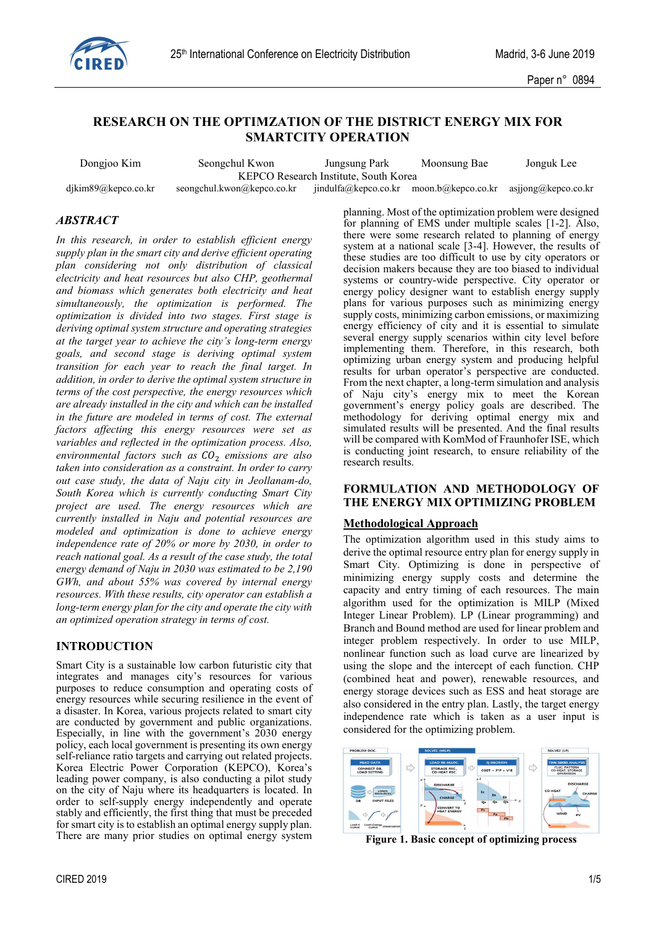

# **RESEARCH ON THE OPTIMZATION OF THE DISTRICT ENERGY MIX FOR SMARTCITY OPERATION**

| Dongjoo Kim         | Seongchul Kwon             | Jungsung Park                         | Moonsung Bae       | Jonguk Lee          |  |
|---------------------|----------------------------|---------------------------------------|--------------------|---------------------|--|
|                     |                            | KEPCO Research Institute, South Korea |                    |                     |  |
| djkim89@kepco.co.kr | seongchul.kwon@kepco.co.kr | jindulfa@kepco.co.kr                  | moon.b@kepco.co.kr | asjjong@kepco.co.kr |  |

## *ABSTRACT*

*In this research, in order to establish efficient energy supply plan in the smart city and derive efficient operating plan considering not only distribution of classical electricity and heat resources but also CHP, geothermal and biomass which generates both electricity and heat simultaneously, the optimization is performed. The optimization is divided into two stages. First stage is deriving optimal system structure and operating strategies at the target year to achieve the city's long-term energy goals, and second stage is deriving optimal system transition for each year to reach the final target. In addition, in order to derive the optimal system structure in terms of the cost perspective, the energy resources which are already installed in the city and which can be installed in the future are modeled in terms of cost. The external factors affecting this energy resources were set as variables and reflected in the optimization process. Also, environmental factors such as emissions are also taken into consideration as a constraint. In order to carry out case study, the data of Naju city in Jeollanam-do, South Korea which is currently conducting Smart City project are used. The energy resources which are currently installed in Naju and potential resources are modeled and optimization is done to achieve energy independence rate of 20% or more by 2030, in order to reach national goal. As a result of the case study, the total energy demand of Naju in 2030 was estimated to be 2,190 GWh, and about 55% was covered by internal energy resources. With these results, city operator can establish a long-term energy plan for the city and operate the city with an optimized operation strategy in terms of cost.*

# **INTRODUCTION**

Smart City is a sustainable low carbon futuristic city that integrates and manages city's resources for various purposes to reduce consumption and operating costs of energy resources while securing resilience in the event of a disaster. In Korea, various projects related to smart city are conducted by government and public organizations. Especially, in line with the government's 2030 energy policy, each local government is presenting its own energy self-reliance ratio targets and carrying out related projects. Korea Electric Power Corporation (KEPCO), Korea's leading power company, is also conducting a pilot study on the city of Naju where its headquarters is located. In order to self-supply energy independently and operate stably and efficiently, the first thing that must be preceded for smart city is to establish an optimal energy supply plan. There are many prior studies on optimal energy system

planning. Most of the optimization problem were designed for planning of EMS under multiple scales [1-2]. Also, there were some research related to planning of energy system at a national scale [3-4]. However, the results of these studies are too difficult to use by city operators or decision makers because they are too biased to individual systems or country-wide perspective. City operator or energy policy designer want to establish energy supply plans for various purposes such as minimizing energy supply costs, minimizing carbon emissions, or maximizing energy efficiency of city and it is essential to simulate several energy supply scenarios within city level before implementing them. Therefore, in this research, both optimizing urban energy system and producing helpful results for urban operator's perspective are conducted. From the next chapter, a long-term simulation and analysis of Naju city's energy mix to meet the Korean government's energy policy goals are described. The methodology for deriving optimal energy mix and simulated results will be presented. And the final results will be compared with KomMod of Fraunhofer ISE, which is conducting joint research, to ensure reliability of the research results.

## **FORMULATION AND METHODOLOGY OF THE ENERGY MIX OPTIMIZING PROBLEM**

## **Methodological Approach**

The optimization algorithm used in this study aims to derive the optimal resource entry plan for energy supply in Smart City. Optimizing is done in perspective of minimizing energy supply costs and determine the capacity and entry timing of each resources. The main algorithm used for the optimization is MILP (Mixed Integer Linear Problem). LP (Linear programming) and Branch and Bound method are used for linear problem and integer problem respectively. In order to use MILP, nonlinear function such as load curve are linearized by using the slope and the intercept of each function. CHP (combined heat and power), renewable resources, and energy storage devices such as ESS and heat storage are also considered in the entry plan. Lastly, the target energy independence rate which is taken as a user input is considered for the optimizing problem.



**Figure 1. Basic concept of optimizing process**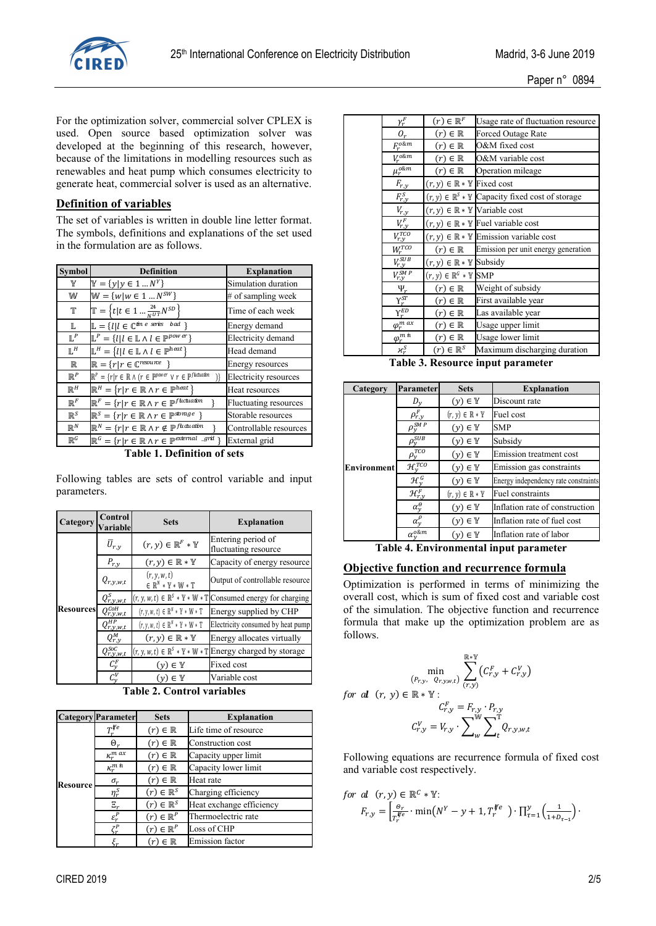

For the optimization solver, commercial solver CPLEX is used. Open source based optimization solver was developed at the beginning of this research, however, because of the limitations in modelling resources such as renewables and heat pump which consumes electricity to generate heat, commercial solver is used as an alternative.

# **Definition of variables**

The set of variables is written in double line letter format. The symbols, definitions and explanations of the set used in the formulation are as follows.

| <b>Symbol</b>  | <b>Definition</b>                                                                                                               | <b>Explanation</b>           |
|----------------|---------------------------------------------------------------------------------------------------------------------------------|------------------------------|
| Y              | $\mathbb{Y} = \{y   y \in 1  N^Y\}$                                                                                             | Simulation duration          |
| W              | $W = \{w   w \in 1  N^{SW}\}\$                                                                                                  | # of sampling week           |
| Т              | $\mathbb{T} = \left\{ t   t \in 1  \frac{24}{NUT} N^{SD} \right\}$                                                              | Time of each week            |
| L              | $\mathbb{L} = \{l   l \in \mathbb{C}^{\text{tin } e \text{ series } bad \}$                                                     | Energy demand                |
| $\mathbb{L}^P$ | $\mathbb{L}^P = \{l   l \in \mathbb{L} \land l \in \mathbb{P}^{pow\,er}\}\$                                                     | Electricity demand           |
| $\mathbb{L}^H$ | $\mathbb{L}^H = \{l   l \in \mathbb{L} \land l \in \mathbb{P}^{\text{heat}}\}$                                                  | Head demand                  |
| $\mathbb R$    | $\mathbb{R} = \{r   r \in \mathbb{C}^{resource}\}\$                                                                             | Energy resources             |
| $\mathbb{R}^P$ | $\mathbb{R}^P = \{r   r \in \mathbb{R} \land (r \in \mathbb{P}^{power} \lor r \in \mathbb{P}^{fluctuation})\}$<br>$\mathcal{V}$ | <b>Electricity resources</b> |
| $\mathbb{R}^H$ | $\mathbb{R}^H = \{r   r \in \mathbb{R} \land r \in \mathbb{P}^{\text{heat}}\}$                                                  | Heat resources               |
| $\mathbb{R}^F$ | $\mathbb{R}^F = \{r   r \in \mathbb{R} \land r \in \mathbb{P}^{fluctuation}\}$                                                  | Fluctuating resources        |
| $\mathbb{R}^S$ | $\mathbb{R}^S = \{r   r \in \mathbb{R} \land r \in \mathbb{P}^{storage} \}$                                                     | Storable resources           |
| $\mathbb{R}^N$ | $\mathbb{R}^N = \{r   r \in \mathbb{R} \land r \notin \mathbb{P}^{fluctuation}\}$                                               | Controllable resources       |
| $\mathbb{R}^G$ | $\mathbb{R}^G = \{r   r \in \mathbb{R} \land r \in \mathbb{P}^{extemal} \sim grtl \}$                                           | External grid                |

**Table 1. Definition of sets**

Following tables are sets of control variable and input parameters.

| Category         | Control<br><b>Variable</b>    | <b>Sets</b>                                                                        | <b>Explanation</b>                                                                                    |
|------------------|-------------------------------|------------------------------------------------------------------------------------|-------------------------------------------------------------------------------------------------------|
|                  | $\overline{U}_{r,y}$          | $(r,y)\in\mathbb{R}^F*\mathbb{Y}$                                                  | Entering period of<br>fluctuating resource                                                            |
|                  | $P_{r,\underline{y}}$         | $(r, y) \in \mathbb{R} * \mathbb{Y}$                                               | Capacity of energy resource                                                                           |
|                  | $Q_{r,y,w,t}$                 | (r, y, w, t)<br>$\in \mathbb{R}^N \ast \mathbb{Y} \ast \mathbb{W} \ast \mathbb{T}$ | Output of controllable resource                                                                       |
|                  | $Q_{r,y,w,t}^S$               |                                                                                    | $(r, y, w, t) \in \mathbb{R}^{S} * \mathbb{Y} * \mathbb{W} * \mathbb{T}$ Consumed energy for charging |
| <b>Resources</b> | $Q_{r,y,w,t}^{C o H}$         | $(r, v, w, t) \in \mathbb{R}^N * \mathbb{Y} * W * \mathbb{T}$                      | Energy supplied by CHP                                                                                |
|                  | $Q_{r,y,w,t}^{HP}$            | $(r, y, w, t) \in \mathbb{R}^N * \mathbb{Y} * W * \mathbb{T}$                      | Electricity consumed by heat pump                                                                     |
|                  | $Q_{r,y}^M$                   | $(r, y) \in \mathbb{R} * \mathbb{Y}$                                               | Energy allocates virtually                                                                            |
|                  | $Q_{r,y,w,t}^{SoC}$           |                                                                                    | $(r, y, w, t) \in \mathbb{R}^s * \mathbb{Y} * \mathbb{W} * \mathbb{T}$ Energy charged by storage      |
|                  | $\mathcal{C}^F_{\mathcal{V}}$ | $(\nu) \in \mathbb{Y}$                                                             | Fixed cost                                                                                            |
|                  | $\mathcal{C}^V_{v}$           | $(\nu) \in \mathbb{Y}$                                                             | Variable cost                                                                                         |

**Table 2. Control variables**

|          | <b>Category</b> Parameter | <b>Sets</b>            | <b>Explanation</b>       |
|----------|---------------------------|------------------------|--------------------------|
|          |                           | $(r) \in \mathbb{R}$   | Life time of resource    |
|          | Θ,                        | $(r) \in \mathbb{R}$   | Construction cost        |
|          | $\kappa_r^m$ ax           | $(r) \in \mathbb{R}$   | Capacity upper limit     |
|          | $\kappa_r^m$ in           | $(r) \in \mathbb{R}$   | Capacity lower limit     |
| Resource | $\sigma_r$                | $(r) \in \mathbb{R}$   | Heat rate                |
|          | $\eta_r^S$                | $(r) \in \mathbb{R}^S$ | Charging efficiency      |
|          | $\Xi_r$                   | $(r) \in \mathbb{R}^S$ | Heat exchange efficiency |
|          | $\varepsilon_r^P$         | $(r) \in \mathbb{R}^P$ | Thermoelectric rate      |
|          | $\zeta_r^P$               | $(r) \in \mathbb{R}^P$ | Loss of CHP              |
|          |                           | $(r) \in \mathbb{R}$   | <b>Emission</b> factor   |

| <b>CIRED 2019</b> | 2/5 |
|-------------------|-----|

| $\gamma_r^F$                   | $(r) \in \mathbb{R}^F$                          | Usage rate of fluctuation resource                                    |
|--------------------------------|-------------------------------------------------|-----------------------------------------------------------------------|
| $O_r$                          | $(r) \in \mathbb{R}$                            | Forced Outage Rate                                                    |
| $F_r^{o\&m}$                   | $(r) \in \mathbb{R}$                            | O&M fixed cost                                                        |
| $V_r^{o\&m}$                   | $(r) \in \mathbb{R}$                            | O&M variable cost                                                     |
| $\mu_r^{o\&m}$                 | $(r) \in \mathbb{R}$                            | Operation mileage                                                     |
| $F_{r,y}$                      | $(r, y) \in \mathbb{R} * \mathbb{Y}$ Fixed cost |                                                                       |
| $F_{r,y}^S$                    |                                                 | $(r, y) \in \mathbb{R}^s * \mathbb{Y}$ Capacity fixed cost of storage |
| $V_{r,y}$                      |                                                 | $(r, y) \in \mathbb{R} * \mathbb{Y}$ Variable cost                    |
| $V_{r,y}^F$                    |                                                 | $(r, y) \in \mathbb{R} * \mathbb{Y}$ Fuel variable cost               |
| $V_{r,y}^{TCO}$                |                                                 | $(r, y) \in \mathbb{R} * \mathbb{Y}$ Emission variable cost           |
| $W_r^{TCO}$                    | $(r) \in \mathbb{R}$                            | Emission per unit energy generation                                   |
| $V^{SUB}_{r,y}$                | $(r, y) \in \mathbb{R} * \mathbb{Y}$ Subsidy    |                                                                       |
| $V_{r,y}^{SMP}$                | $(r, y) \in \mathbb{R}^G * \mathbb{Y}$ SMP      |                                                                       |
| $\Psi_r$                       | $(r) \in \mathbb{R}$                            | Weight of subsidy                                                     |
| $\gamma_r^{ST}$                | $(r) \in \mathbb{R}$                            | First available year                                                  |
| $\overline{\Upsilon_{r}^{ED}}$ | $(r) \in \mathbb{R}$                            | Las available year                                                    |
| $\varphi_r^{m \, ax}$          | $(r) \in \mathbb{R}$                            | Usage upper limit                                                     |
| $\varphi_r^{m\,\,n}$           | $(r) \in \mathbb{R}$                            | Usage lower limit                                                     |
| $x_r^S$                        | $(r) \in \mathbb{R}^S$                          | Maximum discharging duration                                          |
| Table 3                        |                                                 | Resource innut narameter                                              |

**Trce input parameter** 

| Category           | <b>Parameter</b>            | <b>Sets</b>                          | <b>Explanation</b>                   |
|--------------------|-----------------------------|--------------------------------------|--------------------------------------|
|                    |                             | $(y) \in \mathbb{Y}$                 | Discount rate                        |
|                    | $\rho^F_{r,y}$              | $(r, y) \in \mathbb{R} * \mathbb{Y}$ | Fuel cost                            |
|                    | $\rho_{y}^{\overline{SM}P}$ | $(y) \in \mathbb{Y}$                 | <b>SMP</b>                           |
|                    | $\rho_y^{SUB}$              | $(y) \in \mathbb{Y}$                 | Subsidy                              |
|                    | $\rho_{y}^{TCO}$            | $(y) \in \mathbb{Y}$                 | Emission treatment cost              |
| <b>Environment</b> | $\mathcal{H}_{\nu}^{TCO}$   | $(y) \in \mathbb{Y}$                 | Emission gas constraints             |
|                    | $\mathcal{H}^G_v$           | $(y) \in \mathbb{Y}$                 | Energy independency rate constraints |
|                    | $\mathcal{H}^F_{r,y}$       | $(r, y) \in \mathbb{R} * \mathbb{Y}$ | Fuel constraints                     |
|                    | $\alpha_{\nu}^{\Theta}$     | $(\nu) \in \mathbb{Y}$               | Inflation rate of construction       |
|                    | $\alpha_v^{\rho}$           | $(y) \in \mathbb{Y}$                 | Inflation rate of fuel cost          |
|                    | $\alpha_v^{o\&m}$           | $(\nu) \in \mathbb{Y}$               | Inflation rate of labor              |

# **Table 4. Environmental input parameter**

# **Objective function and recurrence formula**

Optimization is performed in terms of minimizing the overall cost, which is sum of fixed cost and variable cost of the simulation. The objective function and recurrence formula that make up the optimization problem are as follows.

$$
\min_{\begin{aligned} (P_{r,y}, Q_{r,y,w,t}) & \sum_{(r,y)} \left( C_{r,y}^F + C_{r,y}^V \right) \\ \text{for all } (r, y) \in \mathbb{R} * \mathbb{Y} : \\ C_{r,y}^F &= F_{r,y} \cdot P_{r,y} \\ C_{r,y}^V &= V_{r,y} \cdot \sum_{w} \sum_{t} \mathbb{I}_{Q_{r,y,w,t}} \end{aligned}
$$

Following equations are recurrence formula of fixed cost and variable cost respectively.

for 
$$
d(r, y) \in \mathbb{R}^C * \mathbb{Y}:\nF_{r,y} = \left[ \frac{\theta_r}{T_r^{q_e}} \cdot \min\left( N^Y - y + 1, T_r^{q_e} \right) \cdot \prod_{\tau=1}^y \left( \frac{1}{1 + D_{\tau-1}} \right) \cdot \prod_{\tau=1}^y \left( \frac{1}{1 + D_{\tau-1}} \right) \cdot \prod_{\tau=1}^y \left( \frac{1}{1 + D_{\tau-1}} \right) \cdot \prod_{\tau=1}^y \left( \frac{1}{1 + D_{\tau-1}} \right) \cdot \prod_{\tau=1}^y \left( \frac{1}{1 + D_{\tau-1}} \right) \cdot \prod_{\tau=1}^y \left( \frac{1}{1 + D_{\tau-1}} \right) \cdot \prod_{\tau=1}^y \left( \frac{1}{1 + D_{\tau-1}} \right) \cdot \prod_{\tau=1}^y \left( \frac{1}{1 + D_{\tau-1}} \right) \cdot \prod_{\tau=1}^y \left( \frac{1}{1 + D_{\tau-1}} \right) \cdot \prod_{\tau=1}^y \left( \frac{1}{1 + D_{\tau-1}} \right) \cdot \prod_{\tau=1}^y \left( \frac{1}{1 + D_{\tau-1}} \right) \cdot \prod_{\tau=1}^y \left( \frac{1}{1 + D_{\tau-1}} \right) \cdot \prod_{\tau=1}^y \left( \frac{1}{1 + D_{\tau-1}} \right) \cdot \prod_{\tau=1}^y \left( \frac{1}{1 + D_{\tau-1}} \right) \cdot \prod_{\tau=1}^y \left( \frac{1}{1 + D_{\tau-1}} \right) \cdot \prod_{\tau=1}^y \left( \frac{1}{1 + D_{\tau-1}} \right) \cdot \prod_{\tau=1}^y \left( \frac{1}{1 + D_{\tau-1}} \right) \cdot \prod_{\tau=1}^y \left( \frac{1}{1 + D_{\tau-1}} \right) \cdot \prod_{\tau=1}^y \left( \frac{1}{1 + D_{\tau-1}} \right) \cdot \prod_{\tau=1}^y \left( \frac{1}{1 + D_{\tau-1}} \right) \cdot \prod_{\tau=1}^y \left( \frac{1}{1 + D_{\tau-1}} \right) \cdot \prod_{\tau=1}^y \left( \
$$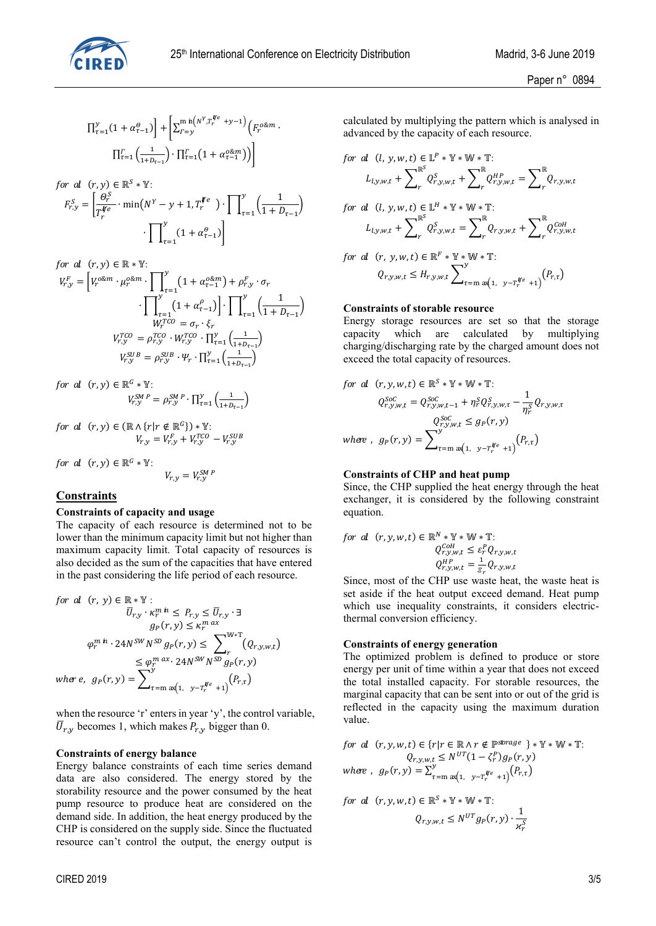

$$
\Pi_{\tau=1}^{y}(1+\alpha_{\tau-1}^{\theta})\Big]+ \Biggl[\Sigma_{\Gamma=y}^{\min\left(N^{Y},T_{\tau}^{\#e}+y-1\right)}\Bigl(F_{\tau}^{o\&m}\cdot\\\ \Pi_{\tau=1}^{\Gamma}\Bigl(\tfrac{1}{1+D_{\tau-1}}\Bigr)\cdot \Pi_{\tau=1}^{\Gamma}\Bigl(1+\alpha_{\tau-1}^{o\&m}\Bigr)\Bigr)\Biggr]
$$

$$
\begin{aligned}\n & \text{for } d \quad (r, y) \in \mathbb{R}^S * \mathbb{Y}: \\
& F_{r, y}^S = \left[ \frac{\theta_r^S}{T_r^{fe}} \cdot \min\left(N^Y - y + 1, T_r^{fe}\right) \cdot \prod_{\tau=1}^y \left(\frac{1}{1 + D_{\tau-1}}\right) \right] \\
& \cdot \prod_{\tau=1}^y (1 + \alpha_{\tau-1}^{\theta})\n \end{aligned}
$$
\n
$$
\text{for } r \in \mathbb{Z}^S \text{ and } \beta \in \mathbb{Z}^S \text{ and } \beta \in \mathbb{Z}^S \text{ and } \beta \in \mathbb{Z}^S \text{ and } \beta \in \mathbb{Z}^S \text{ and } \beta \in \mathbb{Z}^S \text{ and } \beta \in \mathbb{Z}^S \text{ and } \beta \in \mathbb{Z}^S \text{ and } \beta \in \mathbb{Z}^S \text{ and } \beta \in \mathbb{Z}^S \text{ and } \beta \in \mathbb{Z}^S \text{ and } \beta \in \mathbb{Z}^S \text{ and } \beta \in \mathbb{Z}^S \text{ and } \beta \in \mathbb{Z}^S \text{ and } \beta \in \mathbb{Z}^S \text{ and } \beta \in \mathbb{Z}^S \text{ and } \beta \in \mathbb{Z}^S \text{ and } \beta \in \mathbb{Z}^S \text{ and } \beta \in \mathbb{Z}^S \text{ and } \beta \in \mathbb{Z}^S \text{ and } \beta \in \mathbb{Z}^S \text{ and } \beta \in \mathbb{Z}^S \text{ and } \beta \in \mathbb{Z}^S \text{ and } \beta \in \mathbb{Z}^S \text{ and } \beta \in \mathbb{Z}^S \text{ and } \beta \in \mathbb{Z}^S \text{ and } \beta \in \mathbb{Z}^S \text{ and } \beta \in \mathbb{Z}^S \text{ and } \beta \in \mathbb{Z}^S \text{ and } \beta \in \mathbb{Z}^S \text{ and } \beta \in \mathbb{Z}^S \text{ and } \beta \in \mathbb{Z}^S \text{ and } \beta \in \mathbb{Z}^S \text{ and } \beta \in \mathbb{Z}^S \text{ and } \beta \in \mathbb{
$$

$$
\begin{aligned}\n & \text{for all } (r, y) \in \mathbb{R} * \mathbb{Y}: \\
& V_{r, y}^{F} = \left[ V_r^{o \& m} \cdot \mu_r^{o \& m} \cdot \prod_{\tau=1}^{y} \left( 1 + \alpha_{\tau-1}^{o \& m} \right) + \rho_{r, y}^{F} \cdot \sigma_r \\
& \cdot \prod_{\tau=1}^{y} \left( 1 + \alpha_{\tau-1}^{o} \right) \right] \cdot \prod_{\tau=1}^{y} \left( \frac{1}{1 + D_{\tau-1}} \right) \\
& \text{or} \\
& W_r^{TCO} = \sigma_r \cdot \xi_r \\
& V_{r, y}^{TCO} = \rho_{r, y}^{TCO} \cdot W_{r, y}^{TCO} \cdot \prod_{\tau=1}^{y} \left( \frac{1}{1 + D_{\tau-1}} \right) \\
& \text{or} \\
& V_{r, y}^{SUB} = \rho_{r, y}^{SUB} \cdot \Psi_r \cdot \prod_{\tau=1}^{y} \left( \frac{1}{1 + D_{\tau-1}} \right) \\
& \text{ex} \\
\end{aligned}
$$

for al  $(r, y) \in \mathbb{R}^G * \mathbb{Y}$ :  $V_{r,y}^{SUB} = \rho_{r,y}^{SUB} \cdot \Psi_r \cdot \prod_{\tau=1}^{y} \left( \frac{1}{1 + D_{\tau-1}} \right)$ <br>  $\equiv \mathbb{R}^G * \mathbb{Y}:$ <br>  $V_{r,y}^{SM \ P} = \rho_{r,y}^{SM \ P} \cdot \prod_{\tau=1}^{y} \left( \frac{1}{1 + D_{\tau-1}} \right)$  $\frac{y}{\tau=1}$  $\left(\frac{1}{1+D_{\tau-1}}\right)$ 

for al 
$$
(r, y) \in (\mathbb{R} \wedge \{r | r \notin \mathbb{R}^G\}) * \mathbb{Y}
$$
:  
\n
$$
V_{r,y} = V_{r,y}^F + V_{r,y}^{TCO} - V_{r,y}^{SUB}
$$
\nfor al  $(r, y) \in \mathbb{R}^G * \mathbb{Y}$ :  
\n
$$
V_{r,y} = V_{r,y}^{SMP}
$$

for al 
$$
(r, y) \in \mathbb{R}^G * \mathbb{Y}
$$
:  

$$
V_{r,y} = V_{r,y}^{SM \ P}
$$

# **Constraints**

#### **Constraints of capacity and usage**

The capacity of each resource is determined not to be lower than the minimum capacity limit but not higher than maximum capacity limit. Total capacity of resources is also decided as the sum of the capacities that have entered

in the past considering the life period of each resource.  
\nfor 
$$
d(r, y) \in \mathbb{R} * \mathbb{Y}
$$
:  
\n
$$
\overline{U}_{r,y} \cdot \kappa_r^m \hat{n} \leq P_{r,y} \leq \overline{U}_{r,y} \cdot \exists
$$
\n
$$
g_P(r, y) \leq \kappa_r^{m \text{ ax}}
$$
\n
$$
\varphi_r^m \hat{n} \cdot 24N^{SW} N^{SD} g_P(r, y) \leq \sum_{r} \mathbb{W}^* \mathbb{T} (Q_{r,y,w,t})
$$
\n
$$
\leq \varphi_r^m \alpha x \cdot 24N^{SW} N^{SD} g_P(r, y)
$$
\n
$$
\text{where, } g_P(r, y) = \sum_{r=m}^{y} \alpha(1, y - r_r^{he} + 1) \binom{P_{r,r}}{r}
$$

when the resource 'r' enters in year 'y', the control variable,  $\overline{U}_{r,y}$  becomes 1, which makes  $P_{r,y}$  bigger than 0.

## **Constraints of energy balance**

Energy balance constraints of each time series demand data are also considered. The energy stored by the storability resource and the power consumed by the heat pump resource to produce heat are considered on the demand side. In addition, the heat energy produced by the CHP is considered on the supply side. Since the fluctuated resource can't control the output, the energy output is

calculated by multiplying the pattern which is analysed in advanced by the capacity of each resource.

for al (l, y, w, t) 
$$
\in
$$
 L<sup>P</sup> \* Y \* W \* T:  
\n $L_{l,y,w,t} + \sum_{r}^{\mathbb{R}^{S}} Q_{r,y,w,t}^{S} + \sum_{r}^{\mathbb{R}} Q_{r,y,w,t}^{HP} = \sum_{r}^{\mathbb{R}} Q_{r,y,w,t}$   
\nfor al (l, y, w, t)  $\in$  L<sup>H</sup> \* Y \* W \* T:  
\n $L_{l,y,w,t} + \sum_{r}^{\mathbb{R}^{S}} Q_{r,y,w,t}^{S} = \sum_{r}^{\mathbb{R}} Q_{r,y,w,t} + \sum_{r}^{\mathbb{R}} Q_{r,y,w,t}^{COH}$   
\nfor al (r, y, w, t)  $\in$  R<sup>F</sup> \* Y \* W \* T:  
\n $Q_{r,y,w,t} \leq H_{r,y,w,t} \sum_{\tau=m}^{y} \alpha_{(1, y-T_{r}^{\#e} + 1)}^{W_{e}} (P_{r,\tau})$ 

#### **Constraints of storable resource**

Energy storage resources are set so that the storage capacity which are calculated by multiplying charging/discharging rate by the charged amount does not exceed the total capacity of resources.

for al 
$$
(r, y, w, t) \in \mathbb{R}^{S} * \mathbb{Y} * \mathbb{W} * \mathbb{T}
$$
:  
\n $Q_{r,y,w,t}^{Soc} = Q_{r,y,w,t-1}^{Soc} + \eta_r^S Q_{r,y,w,\tau}^S - \frac{1}{\eta_r^S} Q_{r,y,w,\tau}$   
\n $Q_{r,y,w,t}^{Soc} \le g_P(r, y)$   
\nwhere,  $g_P(r, y) = \sum_{\tau=m}^{y} \alpha_{(1, y-T_r^{He} + 1)}(P_{r,\tau})$ 

#### **Constraints of CHP and heat pump**

Since, the CHP supplied the heat energy through the heat exchanger, it is considered by the following constraint equation.

for al 
$$
(r, y, w, t) \in \mathbb{R}^N * \mathbb{Y} * \mathbb{W} * \mathbb{T}
$$
:  
\n $Q_{r,y,w,t}^{CoH} \leq \varepsilon_r^P Q_{r,y,w,t}$   
\n $Q_{r,y,w,t}^{HP} = \frac{1}{\varepsilon_r} Q_{r,y,w,t}$ 

Since, most of the CHP use waste heat, the waste heat is set aside if the heat output exceed demand. Heat pump which use inequality constraints, it considers electricthermal conversion efficiency.

#### **Constraints of energy generation**

The optimized problem is defined to produce or store energy per unit of time within a year that does not exceed the total installed capacity. For storable resources, the marginal capacity that can be sent into or out of the grid is reflected in the capacity using the maximum duration value.

for al 
$$
(r, y, w, t) \in \{r | r \in \mathbb{R} \land r \notin \mathbb{P}^{storage} \} * \mathbb{Y} * \mathbb{W} * \mathbb{T}
$$
:  
\n $Q_{r,y,w,t} \leq N^{UT} (1 - \zeta_r^P) g_P(r, y)$   
\nwhere,  $g_P(r, y) = \sum_{\tau=m}^{y} \frac{\alpha_{\tau}}{\alpha(1, y - T_r^{ye} + 1)} (P_{r,\tau})$ 

for al 
$$
(r, y, w, t) \in \mathbb{R}^S * \mathbb{Y} * \mathbb{W} * \mathbb{T}
$$
:  
\n
$$
Q_{r, y, w, t} \leq N^{UT} g_P(r, y) \cdot \frac{1}{\chi_r^S}
$$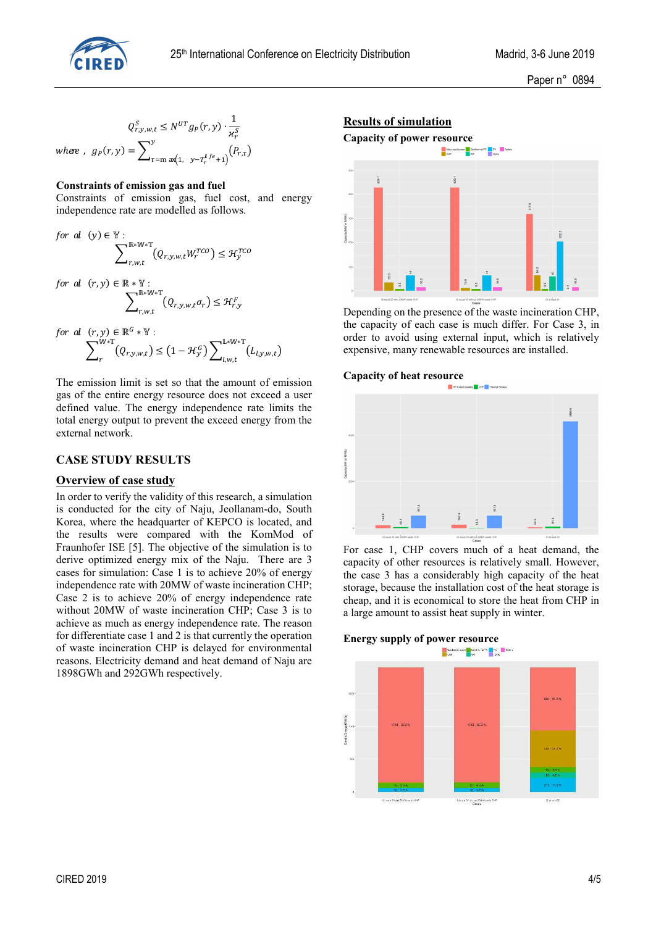

Paper n° 0894

$$
Q_{r,y,w,t}^{S} \le N^{UT} g_{P}(r,y) \cdot \frac{1}{\kappa_r^S}
$$
  
where,  $g_{P}(r,y) = \sum_{\tau=m}^{y} \alpha_{\tau}^{y} (1, y - T_r^{L_f e} + 1) (P_{r,\tau})$ 

#### **Constraints of emission gas and fuel**

Constraints of emission gas, fuel cost, and energy independence rate are modelled as follows.

for al 
$$
(y) \in \mathbb{Y}
$$
:  
\n
$$
\sum_{r,w,t}^{\mathbb{R}*\mathbb{W}*\mathbb{T}} (Q_{r,y,w,t}W_r^{TCO}) \leq \mathcal{H}_y^{TCO}
$$
\nfor al  $(r, y) \in \mathbb{R} * \mathbb{Y}$ :  
\n
$$
\sum_{r,w,t}^{\mathbb{R}*\mathbb{W}*\mathbb{T}} (Q_{r,y,w,t}\sigma_r) \leq \mathcal{H}_{r,y}^F
$$

for al 
$$
(r, y) \in \mathbb{R}^G * \mathbb{Y}
$$
:  
\n
$$
\sum_r^{\mathbb{W} * \mathbb{T}} (Q_{r,y,w,t}) \leq (1 - \mathcal{H}_y^G) \sum_{l,w,t}^{\mathbb{L} * \mathbb{W} * \mathbb{T}} (L_{l,y,w,t})
$$

The emission limit is set so that the amount of emission gas of the entire energy resource does not exceed a user defined value. The energy independence rate limits the total energy output to prevent the exceed energy from the external network.

## **CASE STUDY RESULTS**

## **Overview of case study**

In order to verify the validity of this research, a simulation is conducted for the city of Naju, Jeollanam-do, South Korea, where the headquarter of KEPCO is located, and the results were compared with the KomMod of Fraunhofer ISE [5]. The objective of the simulation is to derive optimized energy mix of the Naju. There are 3 cases for simulation: Case 1 is to achieve 20% of energy independence rate with 20MW of waste incineration CHP; Case 2 is to achieve 20% of energy independence rate without 20MW of waste incineration CHP; Case 3 is to achieve as much as energy independence rate. The reason for differentiate case 1 and 2 is that currently the operation of waste incineration CHP is delayed for environmental reasons. Electricity demand and heat demand of Naju are 1898GWh and 292GWh respectively.

#### **Results of simulation**



Depending on the presence of the waste incineration CHP, the capacity of each case is much differ. For Case 3, in order to avoid using external input, which is relatively expensive, many renewable resources are installed.

# **Capacity of heat resource**



For case 1, CHP covers much of a heat demand, the capacity of other resources is relatively small. However, the case 3 has a considerably high capacity of the heat storage, because the installation cost of the heat storage is cheap, and it is economical to store the heat from CHP in a large amount to assist heat supply in winter.

#### **Energy supply of power resource**